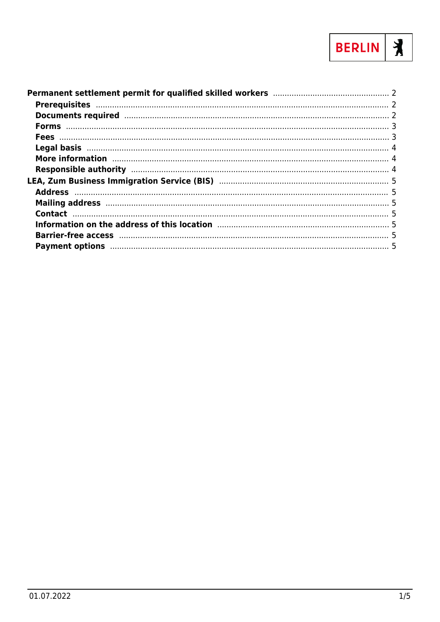

| More information manufactured and the contract of the contract of the contract of the contract of the contract of the contract of the contract of the contract of the contract of the contract of the contract of the contract |  |
|--------------------------------------------------------------------------------------------------------------------------------------------------------------------------------------------------------------------------------|--|
|                                                                                                                                                                                                                                |  |
|                                                                                                                                                                                                                                |  |
|                                                                                                                                                                                                                                |  |
|                                                                                                                                                                                                                                |  |
|                                                                                                                                                                                                                                |  |
|                                                                                                                                                                                                                                |  |
|                                                                                                                                                                                                                                |  |
|                                                                                                                                                                                                                                |  |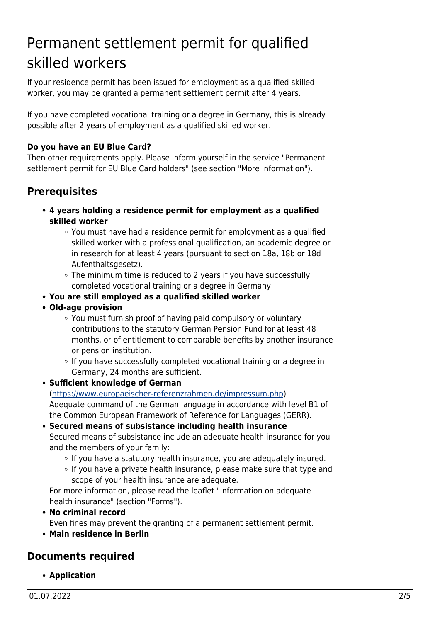# <span id="page-1-0"></span>Permanent settlement permit for qualified skilled workers

If your residence permit has been issued for employment as a qualified skilled worker, you may be granted a permanent settlement permit after 4 years.

If you have completed vocational training or a degree in Germany, this is already possible after 2 years of employment as a qualified skilled worker.

### **Do you have an EU Blue Card?**

Then other requirements apply. Please inform yourself in the service "Permanent settlement permit for EU Blue Card holders" (see section "More information").

# <span id="page-1-1"></span>**Prerequisites**

- **4 years holding a residence permit for employment as a qualified skilled worker**
	- $\circ$  You must have had a residence permit for employment as a qualified skilled worker with a professional qualification, an academic degree or in research for at least 4 years (pursuant to section 18a, 18b or 18d Aufenthaltsgesetz).
	- $\circ$  The minimum time is reduced to 2 years if you have successfully completed vocational training or a degree in Germany.
- **You are still employed as a qualified skilled worker**
- **Old-age provision**
	- You must furnish proof of having paid compulsory or voluntary contributions to the statutory German Pension Fund for at least 48 months, or of entitlement to comparable benefits by another insurance or pension institution.
	- o If you have successfully completed vocational training or a degree in Germany, 24 months are sufficient.

#### **Sufficient knowledge of German**

([https://www.europaeischer-referenzrahmen.de/impressum.php\)](https://www.europaeischer-referenzrahmen.de/impressum.php) Adequate command of the German language in accordance with level B1 of the Common European Framework of Reference for Languages (GERR).

### **Secured means of subsistance including health insurance**

Secured means of subsistance include an adequate health insurance for you and the members of your family:

- o If you have a statutory health insurance, you are adequately insured.
- $\circ$  If you have a private health insurance, please make sure that type and scope of your health insurance are adequate.

For more information, please read the leaflet "Information on adequate health insurance" (section "Forms").

**No criminal record**

Even fines may prevent the granting of a permanent settlement permit.

**Main residence in Berlin**

## <span id="page-1-2"></span>**Documents required**

**Application**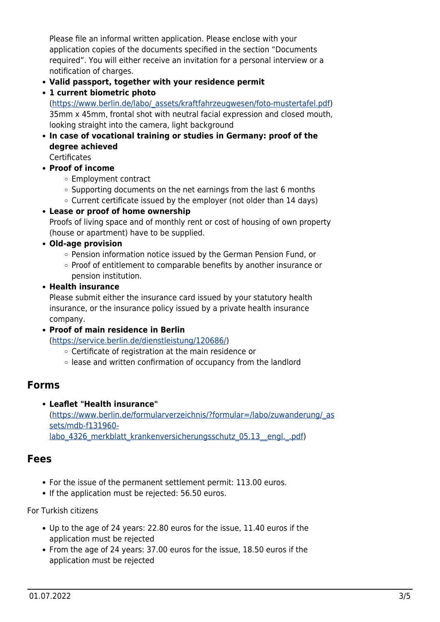Please file an informal written application. Please enclose with your application copies of the documents specified in the section "Documents required". You will either receive an invitation for a personal interview or a notification of charges.

- **Valid passport, together with your residence permit**
- **1 current biometric photo**

([https://www.berlin.de/labo/\\_assets/kraftfahrzeugwesen/foto-mustertafel.pdf\)](https://www.berlin.de/labo/_assets/kraftfahrzeugwesen/foto-mustertafel.pdf) 35mm x 45mm, frontal shot with neutral facial expression and closed mouth, looking straight into the camera, light background

- **In case of vocational training or studies in Germany: proof of the degree achieved**
	- **Certificates**
- **Proof of income**
	- Employment contract
	- $\circ$  Supporting documents on the net earnings from the last 6 months
	- $\circ$  Current certificate issued by the employer (not older than 14 days)
- **Lease or proof of home ownership**

Proofs of living space and of monthly rent or cost of housing of own property (house or apartment) have to be supplied.

- **Old-age provision**
	- o Pension information notice issued by the German Pension Fund, or
	- Proof of entitlement to comparable benefits by another insurance or pension institution.
- **Health insurance**

Please submit either the insurance card issued by your statutory health insurance, or the insurance policy issued by a private health insurance company.

**Proof of main residence in Berlin**

(<https://service.berlin.de/dienstleistung/120686/>)

- Certificate of registration at the main residence or
- $\circ$  lease and written confirmation of occupancy from the landlord

## <span id="page-2-0"></span>**Forms**

**Leaflet "Health insurance"** ([https://www.berlin.de/formularverzeichnis/?formular=/labo/zuwanderung/\\_as](https://www.berlin.de/formularverzeichnis/?formular=/labo/zuwanderung/_assets/mdb-f131960-labo_4326_merkblatt_krankenversicherungsschutz_05.13__engl._.pdf) [sets/mdb-f131960](https://www.berlin.de/formularverzeichnis/?formular=/labo/zuwanderung/_assets/mdb-f131960-labo_4326_merkblatt_krankenversicherungsschutz_05.13__engl._.pdf) labo 4326 merkblatt krankenversicherungsschutz 05.13\_engl. .pdf)

## <span id="page-2-1"></span>**Fees**

- For the issue of the permanent settlement permit: 113.00 euros.
- If the application must be rejected: 56.50 euros.

#### For Turkish citizens

- Up to the age of 24 years: 22.80 euros for the issue, 11.40 euros if the application must be rejected
- From the age of 24 years: 37.00 euros for the issue, 18.50 euros if the application must be rejected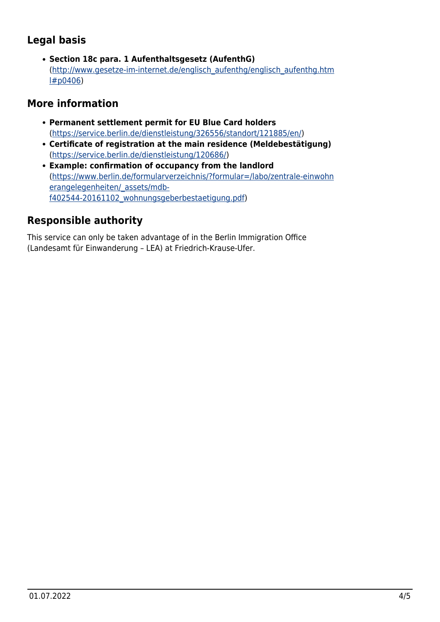# <span id="page-3-0"></span>**Legal basis**

**Section 18c para. 1 Aufenthaltsgesetz (AufenthG)** ([http://www.gesetze-im-internet.de/englisch\\_aufenthg/englisch\\_aufenthg.htm](http://www.gesetze-im-internet.de/englisch_aufenthg/englisch_aufenthg.html#p0406) [l#p0406](http://www.gesetze-im-internet.de/englisch_aufenthg/englisch_aufenthg.html#p0406))

# <span id="page-3-1"></span>**More information**

- **Permanent settlement permit for EU Blue Card holders** ([https://service.berlin.de/dienstleistung/326556/standort/121885/en/\)](https://service.berlin.de/dienstleistung/326556/standort/121885/en/)
- **Certificate of registration at the main residence (Meldebestätigung)** (<https://service.berlin.de/dienstleistung/120686/>)
- **Example: confirmation of occupancy from the landlord** ([https://www.berlin.de/formularverzeichnis/?formular=/labo/zentrale-einwohn](https://www.berlin.de/formularverzeichnis/?formular=/labo/zentrale-einwohnerangelegenheiten/_assets/mdb-f402544-20161102_wohnungsgeberbestaetigung.pdf) [erangelegenheiten/\\_assets/mdb](https://www.berlin.de/formularverzeichnis/?formular=/labo/zentrale-einwohnerangelegenheiten/_assets/mdb-f402544-20161102_wohnungsgeberbestaetigung.pdf)[f402544-20161102\\_wohnungsgeberbestaetigung.pdf\)](https://www.berlin.de/formularverzeichnis/?formular=/labo/zentrale-einwohnerangelegenheiten/_assets/mdb-f402544-20161102_wohnungsgeberbestaetigung.pdf)

# <span id="page-3-2"></span>**Responsible authority**

This service can only be taken advantage of in the Berlin Immigration Office (Landesamt für Einwanderung – LEA) at Friedrich-Krause-Ufer.